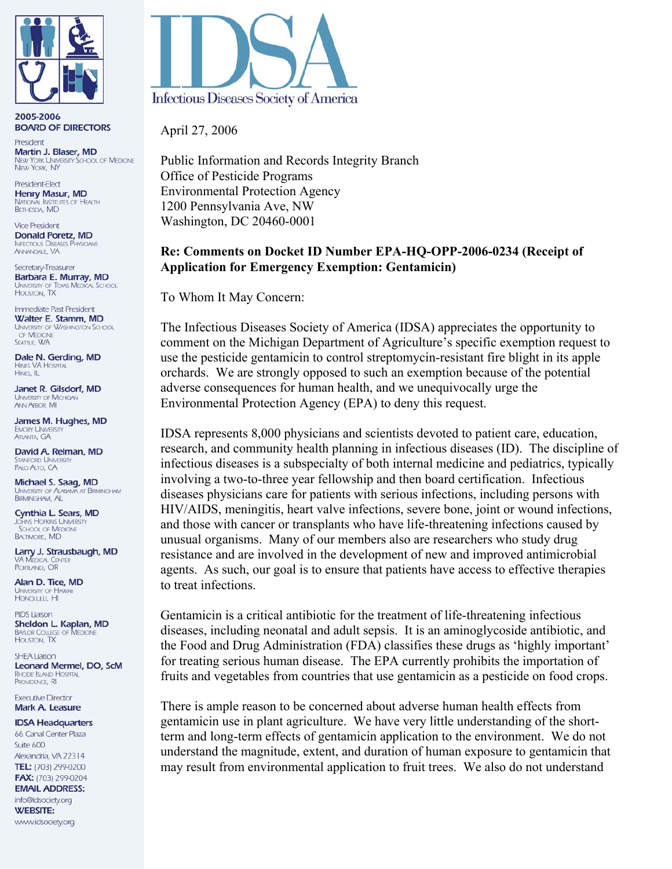

2005-2006 **BOARD OF DIRECTORS** 

President Martin J. Blaser, MD **JEW YORK UNIVERSITY SCHOOL OF MEDICINE NEW YORK, NY** 

President-Elect Henry Masur, MD **NATIONAL INSTITUTES OF HEALTH BETHESDA, MD** 

**Vice President** Donald Poretz, MD **INFECTIOUS DISEASES PHYSICIANS** ANNANDALE VA

Secretary-Treasurer Barbara E. Murray, MD JNIVERSITY OF TEXAS MEDICAL SCHOOL HOUSTON, TX

Immediate Past President Walter E. Stamm, MD UNIVERSITY OF WASHINGTON SCHOOL SEATTLE, WA

Dale N. Gerding, MD **HINES VA HOSPITAL** HINES, IL

Janet R. Gilsdorf, MD **UNIVERSITY OF MICHIGAN ANN ARBOR, MI** 

James M. Hughes, MD **EMORY UNIVERSITY ATLANTA GA** 

David A. Relman, MD **TANFORD LINIVERS** PALO ALTO, CA

Michael S. Saag, MD UNIVERSITY OF ALABAMA AT BIRMINGHAM **BIRMINGHAM, AL** 

Cynthia L. Sears, MD OHNS HOPKINS UNIVERSITY<br>SCHOOL OF MEDICINE **BALTIMORE, MD** 

Larry J. Strausbaugh, MD **VA MEDICAL CENTER** PORTLAND, OR

Alan D. Tice, MD UNIVERSITY OF HA

**PIDS Liaison** Sheldon L. Kaplan, MD **BAYLOR COLLEGE OF MEDICINE** HOUSTON, TX

SHEA Liaison Leonard Mermel, DO, ScM RHODE ISLAND HOSPITAL PROVIDENCE, RI

**Executive Director** Mark A. Leasure

**IDSA Headquarters** 66 Canal Center Plaza

Suite 600 Alexandria, VA 22314 TEL: (703) 299-0200 FAX: (703) 299-0204

**EMAIL ADDRESS:** 

info@idsociety.org **WEBSITE:** www.idsociety.org



April 27, 2006

Public Information and Records Integrity Branch Office of Pesticide Programs Environmental Protection Agency 1200 Pennsylvania Ave, NW Washington, DC 20460-0001

## **Re: Comments on Docket ID Number EPA-HQ-OPP-2006-0234 (Receipt of Application for Emergency Exemption: Gentamicin)**

To Whom It May Concern:

The Infectious Diseases Society of America (IDSA) appreciates the opportunity to comment on the Michigan Department of Agriculture's specific exemption request to use the pesticide gentamicin to control streptomycin-resistant fire blight in its apple orchards. We are strongly opposed to such an exemption because of the potential adverse consequences for human health, and we unequivocally urge the Environmental Protection Agency (EPA) to deny this request.

IDSA represents 8,000 physicians and scientists devoted to patient care, education, research, and community health planning in infectious diseases (ID). The discipline of infectious diseases is a subspecialty of both internal medicine and pediatrics, typically involving a two-to-three year fellowship and then board certification. Infectious diseases physicians care for patients with serious infections, including persons with HIV/AIDS, meningitis, heart valve infections, severe bone, joint or wound infections, and those with cancer or transplants who have life-threatening infections caused by unusual organisms. Many of our members also are researchers who study drug resistance and are involved in the development of new and improved antimicrobial agents. As such, our goal is to ensure that patients have access to effective therapies to treat infections.

Gentamicin is a critical antibiotic for the treatment of life-threatening infectious diseases, including neonatal and adult sepsis. It is an aminoglycoside antibiotic, and the Food and Drug Administration (FDA) classifies these drugs as 'highly important' for treating serious human disease. The EPA currently prohibits the importation of fruits and vegetables from countries that use gentamicin as a pesticide on food crops.

There is ample reason to be concerned about adverse human health effects from gentamicin use in plant agriculture. We have very little understanding of the shortterm and long-term effects of gentamicin application to the environment. We do not understand the magnitude, extent, and duration of human exposure to gentamicin that may result from environmental application to fruit trees. We also do not understand